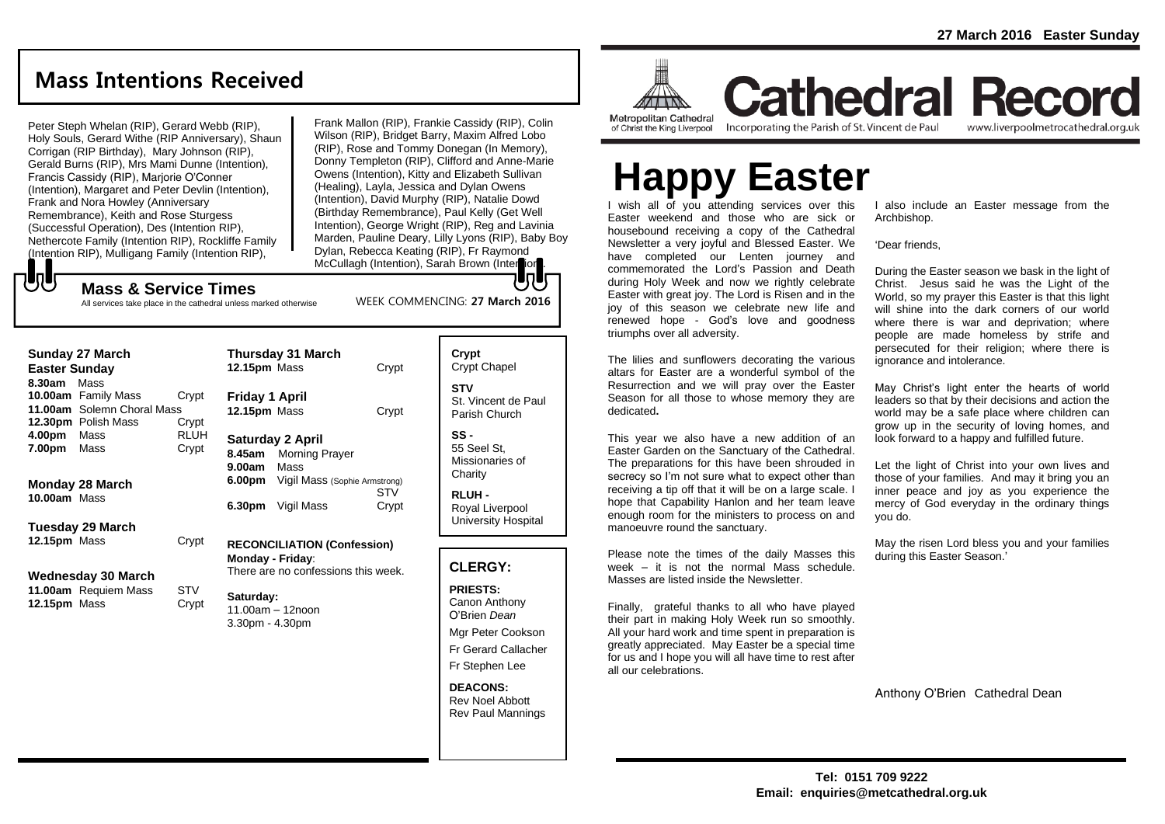### **Mass Intentions Received**

Peter Steph Whelan (RIP), Gerard Webb (RIP), Holy Souls, Gerard Withe (RIP Anniversary), Shaun Corrigan (RIP Birthday), Mary Johnson (RIP), Gerald Burns (RIP), Mrs Mami Dunne (Intention), Francis Cassidy (RIP), Marjorie O'Conner (Intention), Margaret and Peter Devlin (Intention), Frank and Nora Howley (Anniversary Remembrance), Keith and Rose Sturgess (Successful Operation), Des (Intention RIP), Nethercote Family (Intention RIP), Rockliffe Family (Intention RIP), Mulligang Family (Intention RIP),

でし

Frank Mallon (RIP), Frankie Cassidy (RIP), Colin Wilson (RIP), Bridget Barry, Maxim Alfred Lobo (RIP), Rose and Tommy Donegan (In Memory), Donny Templeton (RIP), Clifford and Anne-Marie Owens (Intention), Kitty and Elizabeth Sullivan (Healing), Layla, Jessica and Dylan Owens (Intention), David Murphy (RIP), Natalie Dowd (Birthday Remembrance), Paul Kelly (Get Well Intention), George Wright (RIP), Reg and Lavinia Marden, Pauline Deary, Lilly Lyons (RIP), Baby Boy Dylan, Rebecca Keating (RIP), Fr Raymond McCullagh (Intention), Sarah Brown (Intersion

### **Mass & Service Times**

All services take place in the cathedral unless marked otherwise

| <b>Sunday 27 March</b><br><b>Easter Sunday</b>                                          |                      | <b>Thursday 31 March</b><br>12.15pm Mass                                                                          | Crypt               | Crypt<br>Crypt Chapel                                        |
|-----------------------------------------------------------------------------------------|----------------------|-------------------------------------------------------------------------------------------------------------------|---------------------|--------------------------------------------------------------|
| 8.30am Mass<br>10.00am Family Mass<br>11.00am Solemn Choral Mass<br>12.30pm Polish Mass | Crypt<br>Crypt       | <b>Friday 1 April</b><br>12.15pm Mass                                                                             | Crypt               | <b>STV</b><br>St. Vincent de Par<br>Parish Church            |
| 4.00pm<br>Mass<br>7.00pm<br>Mass                                                        | <b>RLUH</b><br>Crypt | <b>Saturday 2 April</b><br>8.45am Morning Prayer<br>Mass<br>9.00am<br><b>6.00pm</b> Vigil Mass (Sophie Armstrong) |                     | $SS -$<br>55 Seel St.<br>Missionaries of<br>Charity          |
| <b>Monday 28 March</b><br>10.00am Mass                                                  |                      | 6.30pm<br>Vigil Mass                                                                                              | <b>STV</b><br>Crypt | <b>RLUH-</b><br>Royal Liverpool<br><b>University Hospita</b> |
| Tuesday 29 March<br>12.15pm Mass                                                        | Crypt                | <b>RECONCILIATION (Confession)</b>                                                                                |                     |                                                              |
| <b>Wednesday 30 March</b>                                                               |                      | <b>Monday - Friday:</b><br>There are no confessions this week.                                                    |                     | <b>CLERGY:</b>                                               |
| 11.00am Requiem Mass<br>12.15pm Mass                                                    | STV<br>Crypt         | Saturday:<br>11.00am - 12noon<br>$3.30pm - 4.30pm$                                                                |                     | <b>PRIESTS:</b><br>Canon Anthony<br>O'Brien Dean             |

| $911$ (interneting), Garan Brown (inter |                       |  |  |  |  |
|-----------------------------------------|-----------------------|--|--|--|--|
| WEEK COMMENCING: 27 March 2016          |                       |  |  |  |  |
| Crypt                                   | Crypt<br>Crypt Chapel |  |  |  |  |
|                                         |                       |  |  |  |  |

St. Vincent de Paul

University Hospital

Mgr Peter Cookson Fr Gerard Callacher

Fr Stephen Lee

#### **DEACONS:** Rev Noel Abbott Rev Paul Mannings



triumphs over all adversity.

manoeuvre round the sanctuary.

all our celebrations.

Masses are listed inside the Newsletter.

dedicated**.**

**Cathedral Record** of Christ the King Liverpool

I wish all of you attending services over this Easter weekend and those who are sick or housebound receiving a copy of the Cathedral Newsletter a very joyful and Blessed Easter. We have completed our Lenten journey and commemorated the Lord's Passion and Death during Holy Week and now we rightly celebrate Easter with great joy. The Lord is Risen and in the joy of this season we celebrate new life and renewed hope - God's love and goodness

The lilies and sunflowers decorating the various altars for Easter are a wonderful symbol of the Resurrection and we will pray over the Easter Season for all those to whose memory they are

This year we also have a new addition of an Easter Garden on the Sanctuary of the Cathedral. The preparations for this have been shrouded in secrecy so I'm not sure what to expect other than receiving a tip off that it will be on a large scale. I hope that Capability Hanlon and her team leave enough room for the ministers to process on and

Please note the times of the daily Masses this week – it is not the normal Mass schedule.

Finally, grateful thanks to all who have played their part in making Holy Week run so smoothly. All your hard work and time spent in preparation is greatly appreciated. May Easter be a special time for us and I hope you will all have time to rest after

Incorporating the Parish of St. Vincent de Paul

www.liverpoolmetrocathedral.org.uk

I also include an Easter message from the Archbishop. **Happy Easter**

'Dear friends,

During the Easter season we bask in the light of Christ. Jesus said he was the Light of the World, so my prayer this Easter is that this light will shine into the dark corners of our world where there is war and deprivation; where people are made homeless by strife and persecuted for their religion; where there is ignorance and intolerance.

May Christ's light enter the hearts of world leaders so that by their decisions and action the world may be a safe place where children can grow up in the security of loving homes, and look forward to a happy and fulfilled future.

Let the light of Christ into your own lives and those of your families. And may it bring you an inner peace and joy as you experience the mercy of God everyday in the ordinary things you do.

May the risen Lord bless you and your families during this Easter Season.'

Anthony O'Brien Cathedral Dean